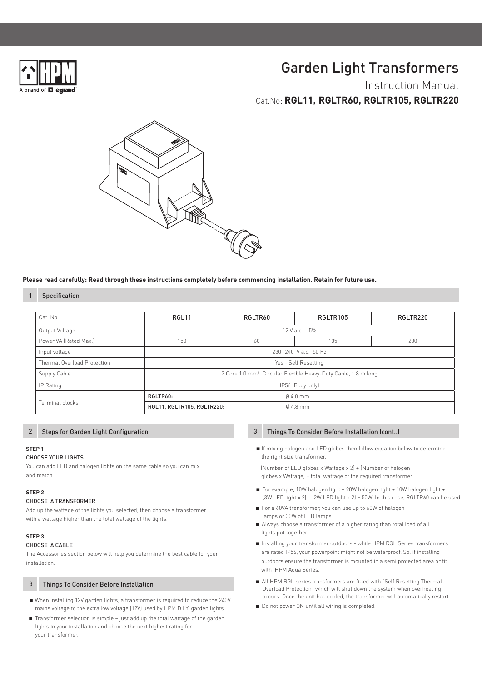

# Garden Light Transformers

Instruction Manual Cat.No: **RGL11, RGLTR60, RGLTR105, RGLTR220**



#### **Please read carefully: Read through these instructions completely before commencing installation. Retain for future use.**

### Specification

1

| Cat. No.                    | RGL <sub>11</sub>                                                         | RGLTR60 | RGLTR105  | RGLTR220 |
|-----------------------------|---------------------------------------------------------------------------|---------|-----------|----------|
| Output Voltage              | 12 V a.c. $\pm$ 5%                                                        |         |           |          |
| Power VA (Rated Max.)       | 150                                                                       | 60      | 105       | 200      |
| Input voltage               | 230-240 Va.c. 50 Hz                                                       |         |           |          |
| Thermal Overload Protection | Yes - Self Resetting                                                      |         |           |          |
| Supply Cable                | 2 Core 1.0 mm <sup>2</sup> Circular Flexible Heavy-Duty Cable, 1.8 m long |         |           |          |
| IP Rating                   | IP56 (Body only)                                                          |         |           |          |
| Terminal blocks             | RGLTR60:<br>$04.0$ mm                                                     |         |           |          |
|                             | RGL11, RGLTR105, RGLTR220:                                                |         | $04.8$ mm |          |

#### Steps for Garden Light Configuration 3

#### **STEP 1**

2

#### CHOOSE YOUR LIGHTS

You can add LED and halogen lights on the same cable so you can mix and match.

#### **STEP 2**

#### CHOOSE A TRANSFORMER

Add up the wattage of the lights you selected, then choose a transformer with a wattage higher than the total wattage of the lights.

#### **STEP 3**

#### CHOOSE A CABLE

The Accessories section below will help you determine the best cable for your installation.

#### 3 Things To Consider Before Installation

- When installing 12V garden lights, a transformer is required to reduce the 240V mains voltage to the extra low voltage (12V) used by HPM D.I.Y. garden lights.
- Transformer selection is simple just add up the total wattage of the garden lights in your installation and choose the next highest rating for your transformer.

#### Things To Consider Before Installation (cont..)

 ■ If mixing halogen and LED globes then follow equation below to determine the right size transformer.

 (Number of LED globes x Wattage x 2) + (Number of halogen globes x Wattage) = total wattage of the required transformer

- For example, 10W halogen light + 20W halogen light + 10W halogen light + (3W LED light x 2) + (2W LED light x 2) = 50W. In this case, RGLTR60 can be used.
- For a 60VA transformer, you can use up to 60W of halogen lamps or 30W of LED lamps.
- Always choose a transformer of a higher rating than total load of all lights put together.
- Installing your transformer outdoors while HPM RGL Series transformers are rated IP56, your powerpoint might not be waterproof. So, if installing outdoors ensure the transformer is mounted in a semi protected area or fit with HPM Aqua Series.
- All HPM RGL series transformers are fitted with "Self Resetting Thermal Overload Protection" which will shut down the system when overheating occurs. Once the unit has cooled, the transformer will automatically restart.
- Do not power ON until all wiring is completed.